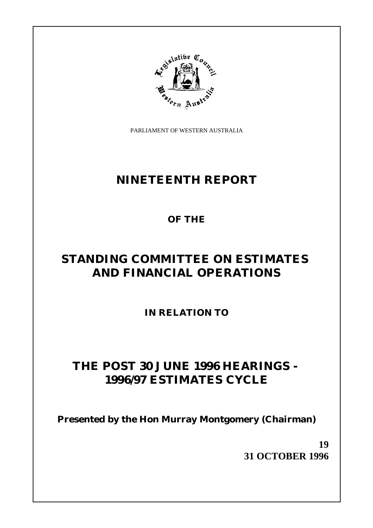

PARLIAMENT OF WESTERN AUSTRALIA

## **NINETEENTH REPORT**

**OF THE**

# **STANDING COMMITTEE ON ESTIMATES AND FINANCIAL OPERATIONS**

**IN RELATION TO**

## **THE POST 30 JUNE 1996 HEARINGS - 1996/97 ESTIMATES CYCLE**

**Presented by the Hon Murray Montgomery (Chairman)**

**19 31 OCTOBER 1996**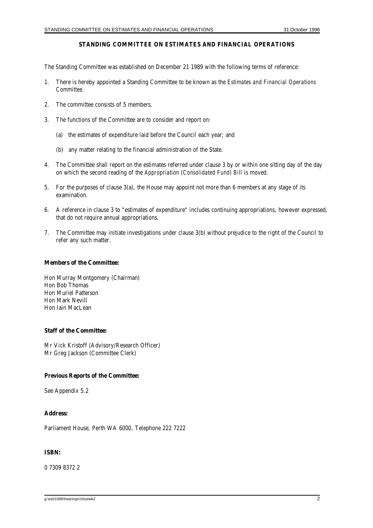#### **STANDING COMMITTEE ON ESTIMATES AND FINANCIAL OPERATIONS**

The Standing Committee was established on December 21 1989 with the following terms of reference:

- 1. There is hereby appointed a Standing Committee to be known as the *Estimates and Financial Operations Committee.*
- 2. The committee consists of 5 members.
- 3. The functions of the Committee are to consider and report on:
	- (a) the estimates of expenditure laid before the Council each year; and
	- (b) any matter relating to the financial administration of the State.
- 4. The Committee shall report on the estimates referred under clause 3 by or within one sitting day of the day on which the second reading of the *Appropriation (Consolidated Fund) Bill* is moved.
- 5. For the purposes of clause 3(a), the House may appoint not more than 6 members at any stage of its examination.
- 6. A reference in clause 3 to "estimates of expenditure" includes continuing appropriations, however expressed, that do not require annual appropriations.
- 7. The Committee may initiate investigations under clause 3(b) without prejudice to the right of the Council to refer any such matter.

#### **Members of the Committee:**

Hon Murray Montgomery (Chairman) Hon Bob Thomas Hon Muriel Patterson Hon Mark Nevill Hon Iain MacLean

#### **Staff of the Committee:**

Mr Vick Kristoff (Advisory/Research Officer) Mr Greg Jackson (Committee Clerk)

#### **Previous Reports of the Committee:**

See Appendix 5.2

#### **Address:**

Parliament House, Perth WA 6000, Telephone 222 7222

#### **ISBN:**

0 7309 8372 2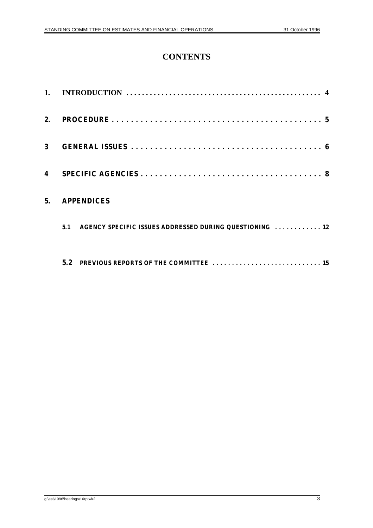## **CONTENTS**

| 1. |                                                                |
|----|----------------------------------------------------------------|
| 2. |                                                                |
| 3  |                                                                |
| 4  |                                                                |
| 5. | <b>APPENDICES</b>                                              |
|    | AGENCY SPECIFIC ISSUES ADDRESSED DURING QUESTIONING  12<br>5.1 |
|    | $5.2^{\circ}$                                                  |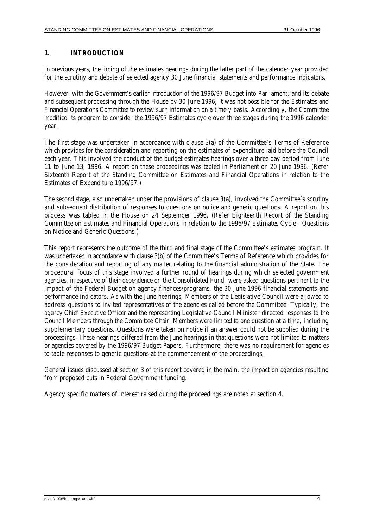### **1. INTRODUCTION**

In previous years, the timing of the estimates hearings during the latter part of the calender year provided for the scrutiny and debate of selected agency 30 June financial statements and performance indicators.

However, with the Government's earlier introduction of the 1996/97 Budget into Parliament, and its debate and subsequent processing through the House by 30 June 1996, it was not possible for the Estimates and Financial Operations Committee to review such information on a timely basis. Accordingly, the Committee modified its program to consider the 1996/97 Estimates cycle over three stages during the 1996 calender year.

The first stage was undertaken in accordance with clause 3(a) of the Committee's Terms of Reference which provides for the consideration and reporting on the estimates of expenditure laid before the Council each year. This involved the conduct of the budget estimates hearings over a three day period from June 11 to June 13, 1996. A report on these proceedings was tabled in Parliament on 20 June 1996. (Refer Sixteenth Report of the Standing Committee on Estimates and Financial Operations in relation to the Estimates of Expenditure 1996/97.)

The second stage, also undertaken under the provisions of clause 3(a), involved the Committee's scrutiny and subsequent distribution of responses to questions on notice and generic questions. A report on this process was tabled in the House on 24 September 1996. (Refer Eighteenth Report of the Standing Committee on Estimates and Financial Operations in relation to the 1996/97 Estimates Cycle - Questions on Notice and Generic Questions.)

This report represents the outcome of the third and final stage of the Committee's estimates program. It was undertaken in accordance with clause 3(b) of the Committee's Terms of Reference which provides for the consideration and reporting of *any* matter relating to the financial administration of the State. The procedural focus of this stage involved a further round of hearings during which selected government agencies, irrespective of their dependence on the Consolidated Fund, were asked questions pertinent to the impact of the Federal Budget on agency finances/programs, the 30 June 1996 financial statements and performance indicators. As with the June hearings, Members of the Legislative Council were allowed to address questions to invited representatives of the agencies called before the Committee. Typically, the agency Chief Executive Officer and the representing Legislative Council Minister directed responses to the Council Members through the Committee Chair. Members were limited to one question at a time, including supplementary questions. Questions were taken on notice if an answer could not be supplied during the proceedings. These hearings differed from the June hearings in that questions were not limited to matters or agencies covered by the 1996/97 Budget Papers. Furthermore, there was no requirement for agencies to table responses to generic questions at the commencement of the proceedings.

General issues discussed at section 3 of this report covered in the main, the impact on agencies resulting from proposed cuts in Federal Government funding.

Agency specific matters of interest raised during the proceedings are noted at section 4.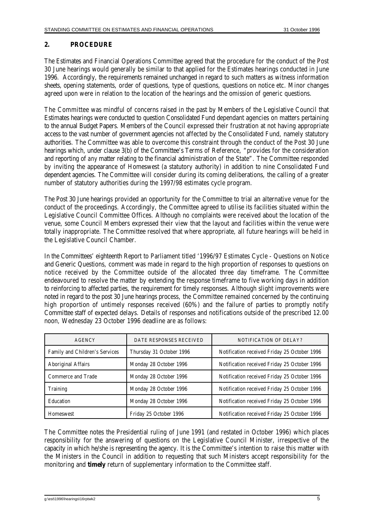### **2. PROCEDURE**

The Estimates and Financial Operations Committee agreed that the procedure for the conduct of the Post 30 June hearings would generally be similar to that applied for the Estimates hearings conducted in June 1996. Accordingly, the requirements remained unchanged in regard to such matters as witness information sheets, opening statements, order of questions, type of questions, questions on notice etc. Minor changes agreed upon were in relation to the location of the hearings and the omission of generic questions.

The Committee was mindful of concerns raised in the past by Members of the Legislative Council that Estimates hearings were conducted to question Consolidated Fund dependant agencies on matters pertaining to the annual Budget Papers. Members of the Council expressed their frustration at not having appropriate access to the vast number of government agencies not affected by the Consolidated Fund, namely statutory authorities. The Committee was able to overcome this constraint through the conduct of the Post 30 June hearings which, under clause 3(b) of the Committee's Terms of Reference, "provides for the consideration and reporting of *any* matter relating to the financial administration of the State". The Committee responded by inviting the appearance of Homeswest (a statutory authority) in addition to nine Consolidated Fund dependent agencies. The Committee will consider during its coming deliberations, the calling of a greater number of statutory authorities during the 1997/98 estimates cycle program.

The Post 30 June hearings provided an opportunity for the Committee to trial an alternative venue for the conduct of the proceedings. Accordingly, the Committee agreed to utilise its facilities situated within the Legislative Council Committee Offices. Although no complaints were received about the location of the venue, some Council Members expressed their view that the layout and facilities within the venue were totally inappropriate. The Committee resolved that where appropriate, all future hearings will be held in the Legislative Council Chamber.

In the Committees' eighteenth Report to Parliament titled '1996/97 Estimates Cycle - Questions on Notice and Generic Questions, comment was made in regard to the high proportion of responses to questions on notice received by the Committee outside of the allocated three day timeframe. The Committee endeavoured to resolve the matter by extending the response timeframe to five working days in addition to reinforcing to affected parties, the requirement for timely responses. Although slight improvements were noted in regard to the post 30 June hearings process, the Committee remained concerned by the continuing high proportion of untimely responses received (60%) and the failure of parties to promptly notify Committee staff of expected delays. Details of responses and notifications outside of the prescribed 12.00 noon, Wednesday 23 October 1996 deadline are as follows:

| <b>AGENCY</b>                  | DATE RESPONSES RECEIVED  | NOTIFICATION OF DELAY?                       |
|--------------------------------|--------------------------|----------------------------------------------|
| Family and Children's Services | Thursday 31 October 1996 | Notification received Friday 25 October 1996 |
| Aboriginal Affairs             | Monday 28 October 1996   | Notification received Friday 25 October 1996 |
| <b>Commerce and Trade</b>      | Monday 28 October 1996   | Notification received Friday 25 October 1996 |
| <b>Training</b>                | Monday 28 October 1996   | Notification received Friday 25 October 1996 |
| Education                      | Monday 28 October 1996   | Notification received Friday 25 October 1996 |
| <b>Homeswest</b>               | Friday 25 October 1996   | Notification received Friday 25 October 1996 |

The Committee notes the Presidential ruling of June 1991 (and restated in October 1996) which places responsibility for the answering of questions on the Legislative Council Minister, irrespective of the capacity in which he/she is representing the agency. It is the Committee's intention to raise this matter with the Ministers in the Council in addition to requesting that such Ministers accept responsibility for the monitoring and **timely** return of supplementary information to the Committee staff.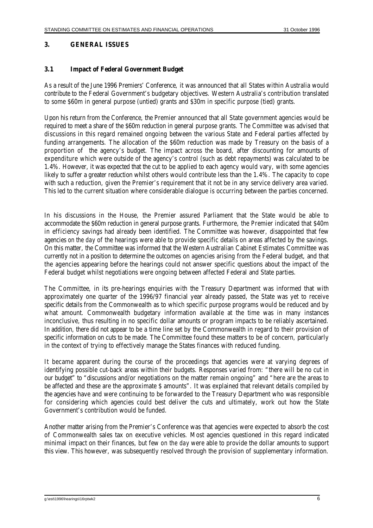## **3. GENERAL ISSUES**

#### **3.1 Impact of Federal Government Budget**

As a result of the June 1996 Premiers' Conference, it was announced that all States within Australia would contribute to the Federal Government's budgetary objectives. Western Australia's contribution translated to some \$60m in general purpose (untied) grants and \$30m in specific purpose (tied) grants.

Upon his return from the Conference, the Premier announced that all State government agencies would be required to meet a share of the \$60m reduction in general purpose grants. The Committee was advised that discussions in this regard remained ongoing between the various State and Federal parties affected by funding arrangements. The allocation of the \$60m reduction was made by Treasury on the basis of a proportion of the agency's budget. The impact across the board, after discounting for amounts of expenditure which were outside of the agency's control (such as debt repayments) was calculated to be 1.4%. However, it was expected that the cut to be applied to each agency would vary, with some agencies likely to suffer a greater reduction whilst others would contribute less than the 1.4%. The capacity to cope with such a reduction, given the Premier's requirement that it not be in any service delivery area varied. This led to the current situation where considerable dialogue is occurring between the parties concerned.

In his discussions in the House, the Premier assured Parliament that the State would be able to accommodate the \$60m reduction in general purpose grants. Furthermore, the Premier indicated that \$40m in efficiency savings had already been identified. The Committee was however, disappointed that few agencies *on the day* of the hearings were able to provide specific details on areas affected by the savings. On this matter, the Committee was informed that the Western Australian Cabinet Estimates Committee was currently not in a position to determine the outcomes on agencies arising from the Federal budget, and that the agencies appearing before the hearings could not answer specific questions about the impact of the Federal budget whilst negotiations were ongoing between affected Federal and State parties.

The Committee, in its pre-hearings enquiries with the Treasury Department was informed that with approximately one quarter of the 1996/97 financial year already passed, the State was yet to receive specific details from the Commonwealth as to which specific purpose programs would be reduced and by what amount. Commonwealth budgetary information available at the time was in many instances inconclusive, thus resulting in no specific dollar amounts or program impacts to be reliably ascertained. In addition, there did not appear to be a time line set by the Commonwealth in regard to their provision of specific information on cuts to be made. The Committee found these matters to be of concern, particularly in the context of trying to effectively manage the States finances with reduced funding.

It became apparent during the course of the proceedings that agencies were at varying degrees of identifying possible cut-back areas within their budgets. Responses varied from: "there will be no cut in our budget" to "discussions and/or negotiations on the matter remain ongoing" and "here are the areas to be affected and these are the approximate \$ amounts". It was explained that relevant details compiled by the agencies have and were continuing to be forwarded to the Treasury Department who was responsible for considering which agencies could best deliver the cuts and ultimately, work out how the State Government's contribution would be funded.

Another matter arising from the Premier's Conference was that agencies were expected to absorb the cost of Commonwealth sales tax on executive vehicles. Most agencies questioned in this regard indicated minimal impact on their finances, but few *on the day* were able to provide the dollar amounts to support this view. This however, was subsequently resolved through the provision of supplementary information.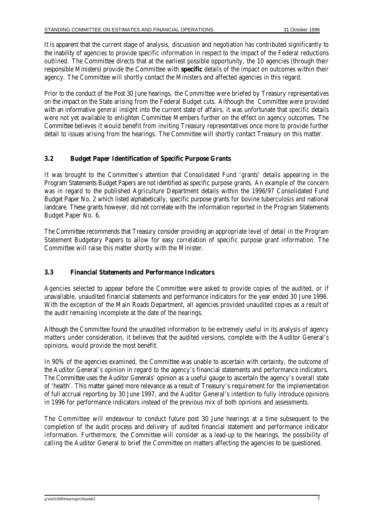It is apparent that the current stage of analysis, discussion and negotiation has contributed significantly to the inability of agencies to provide specific information in respect to the impact of the Federal reductions outlined. The Committee directs that at the earliest possible opportunity, the 10 agencies (through their responsible Ministers) provide the Committee with **specific** details of the impact on outcomes within their agency. The Committee will shortly contact the Ministers and affected agencies in this regard.

Prior to the conduct of the Post 30 June hearings, the Committee were briefed by Treasury representatives on the impact on the State arising from the Federal Budget cuts. Although the Committee were provided with an informative *general* insight into the current state of affairs, it was unfortunate that *specific* details were not yet available to enlighten Committee Members further on the effect on agency outcomes. The Committee believes it would benefit from inviting Treasury representatives once more to provide further detail to issues arising from the hearings. The Committee will shortly contact Treasury on this matter.

#### **3.2 Budget Paper Identification of Specific Purpose Grants**

It was brought to the Committee's attention that Consolidated Fund 'grants' details appearing in the Program Statements Budget Papers are not identified as specific purpose grants. An example of the concern was in regard to the published Agriculture Department details within the 1996/97 Consolidated Fund Budget Paper No. 2 which listed alphabetically, specific purpose grants for bovine tuberculosis and national landcare. These grants however, did not correlate with the information reported in the Program Statements Budget Paper No. 6.

The Committee recommends that Treasury consider providing an appropriate level of detail in the Program Statement Budgetary Papers to allow for easy correlation of specific purpose grant information. The Committee will raise this matter shortly with the Minister.

#### **3.3 Financial Statements and Performance Indicators**

Agencies selected to appear before the Committee were asked to provide copies of the audited, or if unavailable, unaudited financial statements and performance indicators for the year ended 30 June 1996. With the exception of the Main Roads Department, all agencies provided unaudited copies as a result of the audit remaining incomplete at the date of the hearings.

Although the Committee found the unaudited information to be extremely useful in its analysis of agency matters under consideration, it believes that the audited versions, complete with the Auditor General's opinions, would provide the most benefit.

In 90% of the agencies examined, the Committee was unable to ascertain with certainty, the outcome of the Auditor General's opinion in regard to the agency's financial statements and performance indicators. The Committee uses the Auditor Generals' opinion as a useful gauge to ascertain the agency's overall state of 'health'. This matter gained more relevance as a result of Treasury's requirement for the implementation of full accrual reporting by 30 June 1997, and the Auditor General's intention to fully introduce opinions in 1996 for performance indicators instead of the previous mix of both opinions and assessments.

The Committee will endeavour to conduct future post 30 June hearings at a time subsequent to the completion of the audit process and delivery of audited financial statement and performance indicator information. Furthermore, the Committee will consider as a lead-up to the hearings, the possibility of calling the Auditor General to brief the Committee on matters affecting the agencies to be questioned.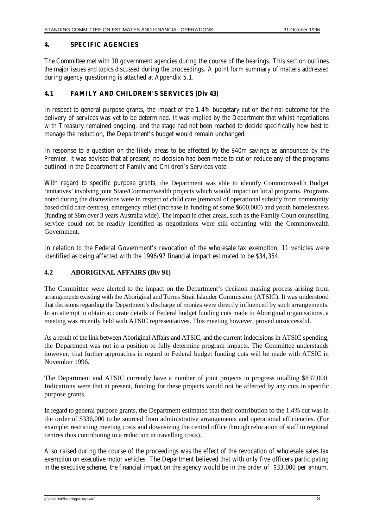#### **4. SPECIFIC AGENCIES**

The Committee met with 10 government agencies during the course of the hearings. This section outlines the major issues and topics discussed during the proceedings. A point form summary of matters addressed during agency questioning is attached at Appendix 5.1.

#### **4.1 FAMILY AND CHILDREN'S SERVICES (Div 43)**

In respect to general purpose grants, the impact of the 1.4% budgetary cut on the final outcome for the delivery of services was yet to be determined. It was implied by the Department that whilst negotiations with Treasury remained ongoing, and the stage had not been reached to decide specifically how best to manage the reduction, the Department's budget would remain unchanged.

In response to a question on the likely areas to be affected by the \$40m savings as announced by the Premier, it was advised that at present, no decision had been made to cut or reduce any of the programs outlined in the Department of Family and Children's Services vote.

With regard to specific purpose grants, the Department was able to identify Commonwealth Budget 'initiatives' involving joint State/Commonwealth projects which would impact on local programs. Programs noted during the discussions were in respect of child care (removal of operational subsidy from community based child care centres), emergency relief (increase in funding of some \$600,000) and youth homelessness (funding of \$8m over 3 years Australia wide). The impact in other areas, such as the Family Court counselling service could not be readily identified as negotiations were still occurring with the Commonwealth Government.

In relation to the Federal Government's revocation of the wholesale tax exemption, 11 vehicles were identified as being affected with the 1996/97 financial impact estimated to be \$34,354.

### **4.2 ABORIGINAL AFFAIRS (Div 91)**

The Committee were alerted to the impact on the Department's decision making process arising from arrangements existing with the Aboriginal and Torres Strait Islander Commission (ATSIC). It was understood that decisions regarding the Department's discharge of monies were directly influenced by such arrangements. In an attempt to obtain accurate details of Federal budget funding cuts made to Aboriginal organisations, a meeting was recently held with ATSIC representatives. This meeting however, proved unsuccessful.

As a result of the link between Aboriginal Affairs and ATSIC, and the current indecisions in ATSIC spending, the Department was not in a position to fully determine program impacts. The Committee understands however, that further approaches in regard to Federal budget funding cuts will be made with ATSIC in November 1996.

The Department and ATSIC currently have a number of joint projects in progress totalling \$837,000. Indications were that at present, funding for these projects would not be affected by any cuts in specific purpose grants.

In regard to general purpose grants, the Department estimated that their contribution to the 1.4% cut was in the order of \$336,000 to be sourced from administrative arrangements and operational efficiencies. (For example: restricting meeting costs and downsizing the central office through relocation of staff to regional centres thus contributing to a reduction in travelling costs).

Also raised during the course of the proceedings was the effect of the revocation of wholesale sales tax exemption on executive motor vehicles. The Department believed that with only five officers participating in the executive scheme, the financial impact on the agency would be in the order of \$33,000 per annum.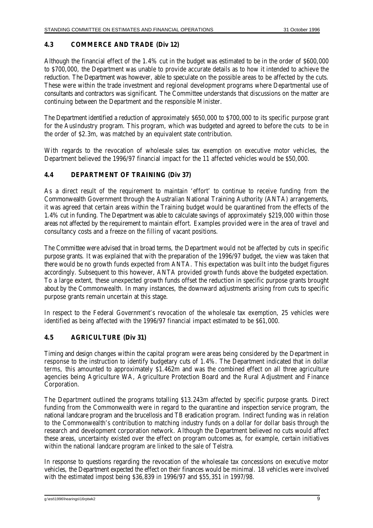#### **4.3 COMMERCE AND TRADE (Div 12)**

Although the financial effect of the 1.4% cut in the budget was estimated to be in the order of \$600,000 to \$700,000, the Department was unable to provide accurate details as to how it intended to achieve the reduction. The Department was however, able to speculate on the possible areas to be affected by the cuts. These were within the trade investment and regional development programs where Departmental use of consultants and contractors was significant. The Committee understands that discussions on the matter are continuing between the Department and the responsible Minister.

The Department identified a reduction of approximately \$650,000 to \$700,000 to its specific purpose grant for the AusIndustry program. This program, which was budgeted and agreed to before the cuts to be in the order of \$2.3m, was matched by an equivalent state contribution.

With regards to the revocation of wholesale sales tax exemption on executive motor vehicles, the Department believed the 1996/97 financial impact for the 11 affected vehicles would be \$50,000.

### **4.4 DEPARTMENT OF TRAINING (Div 37)**

As a direct result of the requirement to maintain 'effort' to continue to receive funding from the Commonwealth Government through the Australian National Training Authority (ANTA) arrangements, it was agreed that certain areas within the Training budget would be quarantined from the effects of the 1.4% cut in funding. The Department was able to calculate savings of approximately \$219,000 within those areas not affected by the requirement to maintain effort. Examples provided were in the area of travel and consultancy costs and a freeze on the filling of vacant positions.

The Committee were advised that in broad terms, the Department would not be affected by cuts in specific purpose grants. It was explained that with the preparation of the 1996/97 budget, the view was taken that there would be no growth funds expected from ANTA. This expectation was built into the budget figures accordingly. Subsequent to this however, ANTA provided growth funds above the budgeted expectation. To a large extent, these unexpected growth funds offset the reduction in specific purpose grants brought about by the Commonwealth. In many instances, the downward adjustments arising from cuts to specific purpose grants remain uncertain at this stage.

In respect to the Federal Government's revocation of the wholesale tax exemption, 25 vehicles were identified as being affected with the 1996/97 financial impact estimated to be \$61,000.

#### **4.5 AGRICULTURE (Div 31)**

Timing and design changes within the capital program were areas being considered by the Department in response to the instruction to identify budgetary cuts of 1.4%. The Department indicated that in dollar terms, this amounted to approximately \$1.462m and was the combined effect on all three agriculture agencies being Agriculture WA, Agriculture Protection Board and the Rural Adjustment and Finance Corporation.

The Department outlined the programs totalling \$13.243m affected by specific purpose grants. Direct funding from the Commonwealth were in regard to the quarantine and inspection service program, the national landcare program and the brucellosis and TB eradication program. Indirect funding was in relation to the Commonwealth's contribution to matching industry funds on a dollar for dollar basis through the research and development corporation network. Although the Department believed no cuts would affect these areas, uncertainty existed over the effect on program outcomes as, for example, certain initiatives within the national landcare program are linked to the sale of Telstra.

In response to questions regarding the revocation of the wholesale tax concessions on executive motor vehicles, the Department expected the effect on their finances would be minimal. 18 vehicles were involved with the estimated impost being \$36,839 in 1996/97 and \$55,351 in 1997/98.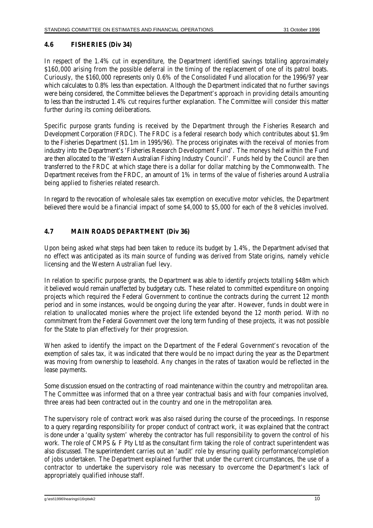#### **4.6 FISHERIES (Div 34)**

In respect of the 1.4% cut in expenditure, the Department identified savings totalling approximately \$160,000 arising from the possible deferral in the timing of the replacement of one of its patrol boats. Curiously, the \$160,000 represents only 0.6% of the Consolidated Fund allocation for the 1996/97 year which calculates to 0.8% less than expectation. Although the Department indicated that no further savings were being considered, the Committee believes the Department's approach in providing details amounting to less than the instructed 1.4% cut requires further explanation. The Committee will consider this matter further during its coming deliberations.

Specific purpose grants funding is received by the Department through the Fisheries Research and Development Corporation (FRDC). The FRDC is a federal research body which contributes about \$1.9m to the Fisheries Department (\$1.1m in 1995/96). The process originates with the receival of monies from industry into the Department's 'Fisheries Research Development Fund'. The moneys held within the Fund are then allocated to the 'Western Australian Fishing Industry Council'. Funds held by the Council are then transferred to the FRDC at which stage there is a dollar for dollar matching by the Commonwealth. The Department receives from the FRDC, an amount of 1% in terms of the value of fisheries around Australia being applied to fisheries related research.

In regard to the revocation of wholesale sales tax exemption on executive motor vehicles, the Department believed there would be a financial impact of some \$4,000 to \$5,000 for each of the 8 vehicles involved.

### **4.7 MAIN ROADS DEPARTMENT (Div 36)**

Upon being asked what steps had been taken to reduce its budget by 1.4%, the Department advised that no effect was anticipated as its main source of funding was derived from State origins, namely vehicle licensing and the Western Australian fuel levy.

In relation to specific purpose grants, the Department was able to identify projects totalling \$48m which it believed would remain unaffected by budgetary cuts. These related to committed expenditure on ongoing projects which required the Federal Government to continue the contracts during the current 12 month period and in some instances, would be ongoing during the year after. However, funds in doubt were in relation to unallocated monies where the project life extended beyond the 12 month period. With no commitment from the Federal Government over the long term funding of these projects, it was not possible for the State to plan effectively for their progression.

When asked to identify the impact on the Department of the Federal Government's revocation of the exemption of sales tax, it was indicated that there would be no impact during the year as the Department was moving from ownership to leasehold. Any changes in the rates of taxation would be reflected in the lease payments.

Some discussion ensued on the contracting of road maintenance within the country and metropolitan area. The Committee was informed that on a three year contractual basis and with four companies involved, three areas had been contracted out in the country and one in the metropolitan area.

The supervisory role of contract work was also raised during the course of the proceedings. In response to a query regarding responsibility for proper conduct of contract work, it was explained that the contract is done under a 'quality system' whereby the contractor has full responsibility to govern the control of his work. The role of CMPS & F Pty Ltd as the consultant firm taking the role of contract superintendent was also discussed. The superintendent carries out an 'audit' role by ensuring quality performance/completion of jobs undertaken. The Department explained further that under the current circumstances, the use of a contractor to undertake the supervisory role was necessary to overcome the Department's lack of appropriately qualified inhouse staff.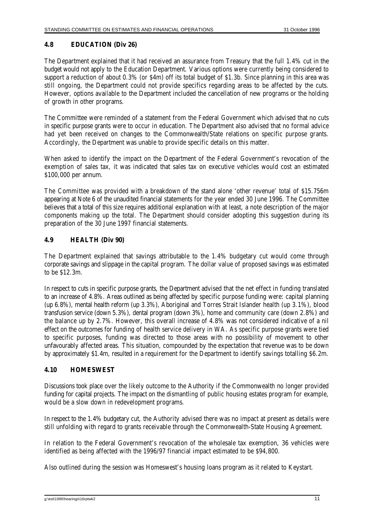#### **4.8 EDUCATION (Div 26)**

The Department explained that it had received an assurance from Treasury that the full 1.4% cut in the budget would not apply to the Education Department. Various options were currently being considered to support a reduction of about 0.3% (or \$4m) off its total budget of \$1.3b. Since planning in this area was still ongoing, the Department could not provide specifics regarding areas to be affected by the cuts. However, options available to the Department included the cancellation of new programs or the holding of growth in other programs.

The Committee were reminded of a statement from the Federal Government which advised that no cuts in specific purpose grants were to occur in education. The Department also advised that no formal advice had yet been received on changes to the Commonwealth/State relations on specific purpose grants. Accordingly, the Department was unable to provide specific details on this matter.

When asked to identify the impact on the Department of the Federal Government's revocation of the exemption of sales tax, it was indicated that sales tax on executive vehicles would cost an estimated \$100,000 per annum.

The Committee was provided with a breakdown of the stand alone 'other revenue' total of \$15.756m appearing at Note 6 of the unaudited financial statements for the year ended 30 June 1996. The Committee believes that a total of this size requires additional explanation with at least, a note description of the major components making up the total. The Department should consider adopting this suggestion during its preparation of the 30 June 1997 financial statements.

#### **4.9 HEALTH (Div 90)**

The Department explained that savings attributable to the 1.4% budgetary cut would come through corporate savings and slippage in the capital program. The dollar value of proposed savings was estimated to be \$12.3m.

In respect to cuts in specific purpose grants, the Department advised that the net effect in funding translated to an increase of 4.8%. Areas outlined as being affected by specific purpose funding were: capital planning (up 6.8%), mental health reform (up 3.3%), Aboriginal and Torres Strait Islander health (up 3.1%), blood transfusion service (down 5.3%), dental program (down 3%), home and community care (down 2.8%) and the balance up by 2.7%. However, this overall increase of 4.8% was not considered indicative of a nil effect on the outcomes for funding of health service delivery in WA. As specific purpose grants were tied to specific purposes, funding was directed to those areas with no possibility of movement to other unfavourably affected areas. This situation, compounded by the expectation that revenue was to be down by approximately \$1.4m, resulted in a requirement for the Department to identify savings totalling \$6.2m.

### **4.10 HOMESWEST**

Discussions took place over the likely outcome to the Authority if the Commonwealth no longer provided funding for capital projects. The impact on the dismantling of public housing estates program for example, would be a slow down in redevelopment programs.

In respect to the 1.4% budgetary cut, the Authority advised there was no impact at present as details were still unfolding with regard to grants receivable through the Commonwealth-State Housing Agreement.

In relation to the Federal Government's revocation of the wholesale tax exemption, 36 vehicles were identified as being affected with the 1996/97 financial impact estimated to be \$94,800.

Also outlined during the session was Homeswest's housing loans program as it related to Keystart.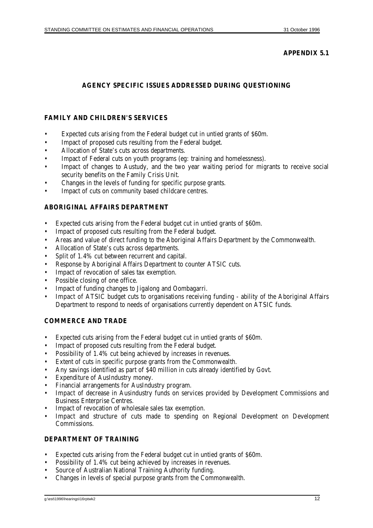#### **APPENDIX 5.1**

## **AGENCY SPECIFIC ISSUES ADDRESSED DURING QUESTIONING**

#### **FAMILY AND CHILDREN'S SERVICES**

- Expected cuts arising from the Federal budget cut in untied grants of \$60m.
- Impact of proposed cuts resulting from the Federal budget.
- Allocation of State's cuts across departments.
- Impact of Federal cuts on youth programs (eg: training and homelessness).
- Impact of changes to Austudy, and the two year waiting period for migrants to receive social security benefits on the Family Crisis Unit.
- Changes in the levels of funding for specific purpose grants.
- Impact of cuts on community based childcare centres.

#### **ABORIGINAL AFFAIRS DEPARTMENT**

- Expected cuts arising from the Federal budget cut in untied grants of \$60m.
- Impact of proposed cuts resulting from the Federal budget.
- Areas and value of direct funding to the Aboriginal Affairs Department by the Commonwealth.
- Allocation of State's cuts across departments.
- Split of 1.4% cut between recurrent and capital.
- Response by Aboriginal Affairs Department to counter ATSIC cuts.
- Impact of revocation of sales tax exemption.
- Possible closing of one office.
- Impact of funding changes to Jigalong and Oombagarri.
- Impact of ATSIC budget cuts to organisations receiving funding ability of the Aboriginal Affairs Department to respond to needs of organisations currently dependent on ATSIC funds.

### **COMMERCE AND TRADE**

- Expected cuts arising from the Federal budget cut in untied grants of \$60m.
- Impact of proposed cuts resulting from the Federal budget.
- Possibility of 1.4% cut being achieved by increases in revenues.
- Extent of cuts in specific purpose grants from the Commonwealth.
- Any savings identified as part of \$40 million in cuts already identified by Govt.
- Expenditure of AusIndustry money.
- Financial arrangements for AusIndustry program.
- Impact of decrease in Ausindustry funds on services provided by Development Commissions and Business Enterprise Centres.
- Impact of revocation of wholesale sales tax exemption.
- Impact and structure of cuts made to spending on Regional Development on Development Commissions.

#### **DEPARTMENT OF TRAINING**

- Expected cuts arising from the Federal budget cut in untied grants of \$60m.
- Possibility of 1.4% cut being achieved by increases in revenues.
- Source of Australian National Training Authority funding.
- Changes in levels of special purpose grants from the Commonwealth.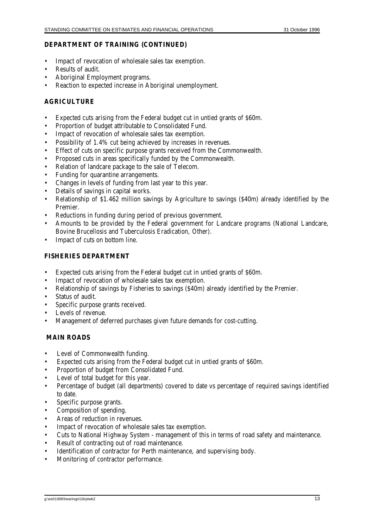#### **DEPARTMENT OF TRAINING (CONTINUED)**

- Impact of revocation of wholesale sales tax exemption.
- Results of audit.
- Aboriginal Employment programs.
- Reaction to expected increase in Aboriginal unemployment.

#### **AGRICULTURE**

- Expected cuts arising from the Federal budget cut in untied grants of \$60m.
- Proportion of budget attributable to Consolidated Fund.
- Impact of revocation of wholesale sales tax exemption.
- Possibility of 1.4% cut being achieved by increases in revenues.
- Effect of cuts on specific purpose grants received from the Commonwealth.
- Proposed cuts in areas specifically funded by the Commonwealth.
- Relation of landcare package to the sale of Telecom.
- Funding for quarantine arrangements.
- Changes in levels of funding from last year to this year.
- Details of savings in capital works.
- Relationship of \$1.462 million savings by Agriculture to savings (\$40m) already identified by the Premier.
- Reductions in funding during period of previous government.
- Amounts to be provided by the Federal government for Landcare programs (National Landcare, Bovine Brucellosis and Tuberculosis Eradication, Other).
- Impact of cuts on bottom line.

#### **FISHERIES DEPARTMENT**

- Expected cuts arising from the Federal budget cut in untied grants of \$60m.
- Impact of revocation of wholesale sales tax exemption.
- Relationship of savings by Fisheries to savings (\$40m) already identified by the Premier.
- Status of audit.
- Specific purpose grants received.
- Levels of revenue.
- Management of deferred purchases given future demands for cost-cutting.

#### **MAIN ROADS**

- Level of Commonwealth funding.
- Expected cuts arising from the Federal budget cut in untied grants of \$60m.
- Proportion of budget from Consolidated Fund.
- Level of total budget for this year.
- Percentage of budget (all departments) covered to date vs percentage of required savings identified to date.
- Specific purpose grants.
- Composition of spending.
- Areas of reduction in revenues.
- Impact of revocation of wholesale sales tax exemption.
- Cuts to National Highway System management of this in terms of road safety and maintenance.
- Result of contracting out of road maintenance.
- Identification of contractor for Perth maintenance, and supervising body.
- Monitoring of contractor performance.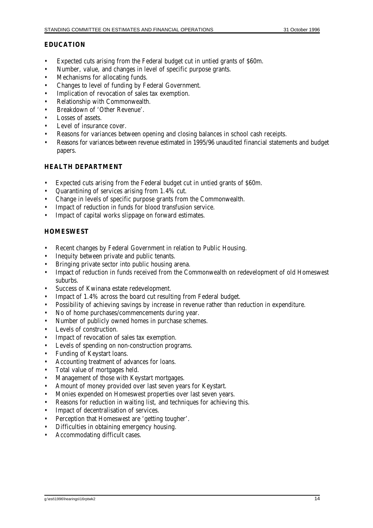### **EDUCATION**

- Expected cuts arising from the Federal budget cut in untied grants of \$60m.
- Number, value, and changes in level of specific purpose grants.
- Mechanisms for allocating funds.
- Changes to level of funding by Federal Government.
- Implication of revocation of sales tax exemption.
- Relationship with Commonwealth.
- Breakdown of 'Other Revenue'.
- Losses of assets
- Level of insurance cover.
- Reasons for variances between opening and closing balances in school cash receipts.
- Reasons for variances between revenue estimated in 1995/96 unaudited financial statements and budget papers.

#### **HEALTH DEPARTMENT**

- Expected cuts arising from the Federal budget cut in untied grants of \$60m.
- Quarantining of services arising from 1.4% cut.
- Change in levels of specific purpose grants from the Commonwealth.
- Impact of reduction in funds for blood transfusion service.
- Impact of capital works slippage on forward estimates.

### **HOMESWEST**

- Recent changes by Federal Government in relation to Public Housing.
- Inequity between private and public tenants.
- Bringing private sector into public housing arena.
- Impact of reduction in funds received from the Commonwealth on redevelopment of old Homeswest suburbs.
- Success of Kwinana estate redevelopment.
- Impact of 1.4% across the board cut resulting from Federal budget.
- Possibility of achieving savings by increase in revenue rather than reduction in expenditure.
- No of home purchases/commencements during year.
- Number of publicly owned homes in purchase schemes.
- Levels of construction.
- Impact of revocation of sales tax exemption.
- Levels of spending on non-construction programs.
- Funding of Keystart loans.
- Accounting treatment of advances for loans.
- Total value of mortgages held.
- Management of those with Keystart mortgages.
- Amount of money provided over last seven years for Keystart.
- Monies expended on Homeswest properties over last seven years.
- Reasons for reduction in waiting list, and techniques for achieving this.
- Impact of decentralisation of services.
- Perception that Homeswest are 'getting tougher'.
- Difficulties in obtaining emergency housing.
- Accommodating difficult cases.